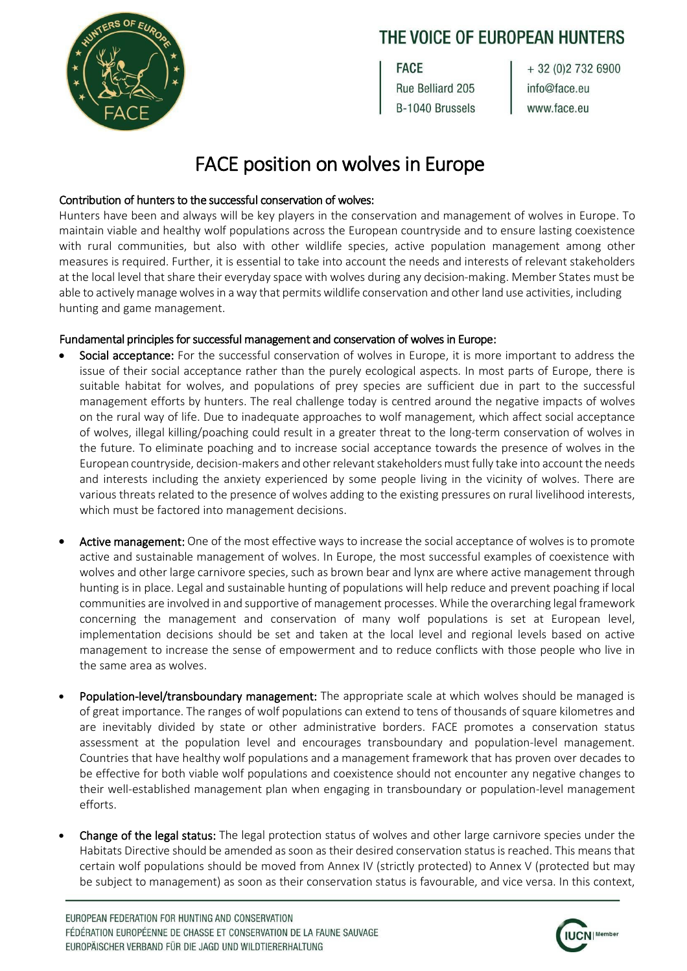### THE VOICE OF EUROPEAN HUNTERS

**FACE** Rue Belliard 205

B-1040 Brussels

+ 32 (0) 2 7 3 2 6 9 0 0 info@face.eu www.face.eu

# FACE position on wolves in Europe

#### Contribution of hunters to the successful conservation of wolves:

Hunters have been and always will be key players in the conservation and management of wolves in Europe. To maintain viable and healthy wolf populations across the European countryside and to ensure lasting coexistence with rural communities, but also with other wildlife species, active population management among other measures is required. Further, it is essential to take into account the needs and interests of relevant stakeholders at the local level that share their everyday space with wolves during any decision-making. Member States must be able to actively manage wolves in a way that permits wildlife conservation and other land use activities, including hunting and game management.

#### Fundamental principles for successful management and conservation of wolves in Europe:

- Social acceptance: For the successful conservation of wolves in Europe, it is more important to address the issue of their social acceptance rather than the purely ecological aspects. In most parts of Europe, there is suitable habitat for wolves, and populations of prey species are sufficient due in part to the successful management efforts by hunters. The real challenge today is centred around the negative impacts of wolves on the rural way of life. Due to inadequate approaches to wolf management, which affect social acceptance of wolves, illegal killing/poaching could result in a greater threat to the long-term conservation of wolves in the future. To eliminate poaching and to increase social acceptance towards the presence of wolves in the European countryside, decision-makers and other relevant stakeholders must fully take into account the needs and interests including the anxiety experienced by some people living in the vicinity of wolves. There are various threats related to the presence of wolves adding to the existing pressures on rural livelihood interests, which must be factored into management decisions.
- Active management: One of the most effective ways to increase the social acceptance of wolves is to promote active and sustainable management of wolves. In Europe, the most successful examples of coexistence with wolves and other large carnivore species, such as brown bear and lynx are where active management through hunting is in place. Legal and sustainable hunting of populations will help reduce and prevent poaching if local communities are involved in and supportive of management processes. While the overarching legal framework concerning the management and conservation of many wolf populations is set at European level, implementation decisions should be set and taken at the local level and regional levels based on active management to increase the sense of empowerment and to reduce conflicts with those people who live in the same area as wolves.
- Population-level/transboundary management: The appropriate scale at which wolves should be managed is of great importance. The ranges of wolf populations can extend to tens of thousands of square kilometres and are inevitably divided by state or other administrative borders. FACE promotes a conservation status assessment at the population level and encourages transboundary and population-level management. Countries that have healthy wolf populations and a management framework that has proven over decades to be effective for both viable wolf populations and coexistence should not encounter any negative changes to their well-established management plan when engaging in transboundary or population-level management efforts.
- Change of the legal status: The legal protection status of wolves and other large carnivore species under the Habitats Directive should be amended as soon as their desired conservation status is reached. This means that certain wolf populations should be moved from Annex IV (strictly protected) to Annex V (protected but may be subject to management) as soon as their conservation status is favourable, and vice versa. In this context,